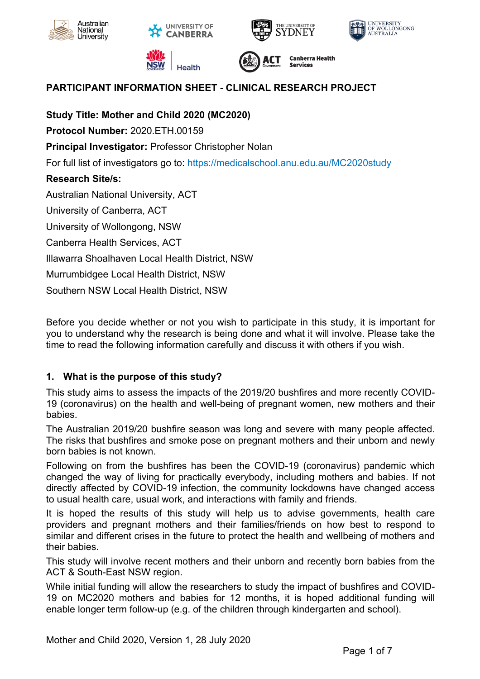











**Canberra Health** 

# **PARTICIPANT INFORMATION SHEET - CLINICAL RESEARCH PROJECT**

**Study Title: Mother and Child 2020 (MC2020) Protocol Number:** 2020.ETH.00159 **Principal Investigator:** Professor Christopher Nolan For full list of investigators go to: https://medicalschool.anu.edu.au/MC2020study **Research Site/s:** Australian National University, ACT University of Canberra, ACT University of Wollongong, NSW Canberra Health Services, ACT Illawarra Shoalhaven Local Health District, NSW Murrumbidgee Local Health District, NSW Southern NSW Local Health District, NSW

Before you decide whether or not you wish to participate in this study, it is important for you to understand why the research is being done and what it will involve. Please take the time to read the following information carefully and discuss it with others if you wish.

# **1. What is the purpose of this study?**

This study aims to assess the impacts of the 2019/20 bushfires and more recently COVID-19 (coronavirus) on the health and well-being of pregnant women, new mothers and their babies.

The Australian 2019/20 bushfire season was long and severe with many people affected. The risks that bushfires and smoke pose on pregnant mothers and their unborn and newly born babies is not known.

Following on from the bushfires has been the COVID-19 (coronavirus) pandemic which changed the way of living for practically everybody, including mothers and babies. If not directly affected by COVID-19 infection, the community lockdowns have changed access to usual health care, usual work, and interactions with family and friends.

It is hoped the results of this study will help us to advise governments, health care providers and pregnant mothers and their families/friends on how best to respond to similar and different crises in the future to protect the health and wellbeing of mothers and their babies.

This study will involve recent mothers and their unborn and recently born babies from the ACT & South-East NSW region.

While initial funding will allow the researchers to study the impact of bushfires and COVID-19 on MC2020 mothers and babies for 12 months, it is hoped additional funding will enable longer term follow-up (e.g. of the children through kindergarten and school).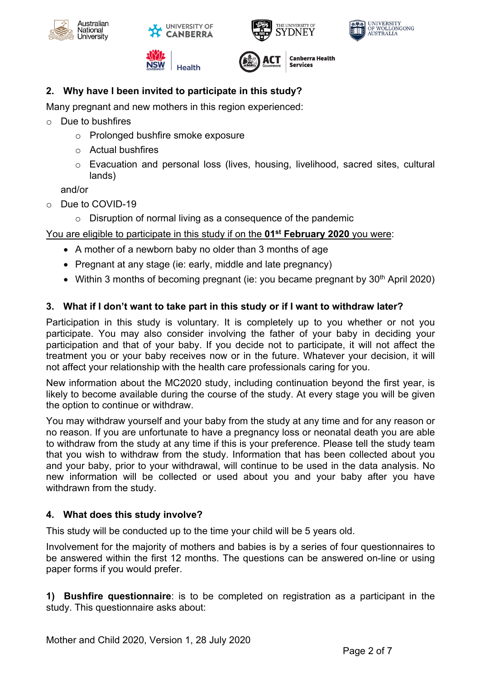











**Canberra Health** 

# **2. Why have I been invited to participate in this study?**

Many pregnant and new mothers in this region experienced:

- o Due to bushfires
	- o Prolonged bushfire smoke exposure
	- o Actual bushfires
	- $\circ$  Evacuation and personal loss (lives, housing, livelihood, sacred sites, cultural lands)

and/or

- o Due to COVID-19
	- o Disruption of normal living as a consequence of the pandemic

### You are eligible to participate in this study if on the **01st February 2020** you were:

- A mother of a newborn baby no older than 3 months of age
- Pregnant at any stage (ie: early, middle and late pregnancy)
- Within 3 months of becoming pregnant (ie: you became pregnant by 30<sup>th</sup> April 2020)

### **3. What if I don't want to take part in this study or if I want to withdraw later?**

Participation in this study is voluntary. It is completely up to you whether or not you participate. You may also consider involving the father of your baby in deciding your participation and that of your baby. If you decide not to participate, it will not affect the treatment you or your baby receives now or in the future. Whatever your decision, it will not affect your relationship with the health care professionals caring for you.

New information about the MC2020 study, including continuation beyond the first year, is likely to become available during the course of the study. At every stage you will be given the option to continue or withdraw.

You may withdraw yourself and your baby from the study at any time and for any reason or no reason. If you are unfortunate to have a pregnancy loss or neonatal death you are able to withdraw from the study at any time if this is your preference. Please tell the study team that you wish to withdraw from the study. Information that has been collected about you and your baby, prior to your withdrawal, will continue to be used in the data analysis. No new information will be collected or used about you and your baby after you have withdrawn from the study.

#### **4. What does this study involve?**

This study will be conducted up to the time your child will be 5 years old.

Involvement for the majority of mothers and babies is by a series of four questionnaires to be answered within the first 12 months. The questions can be answered on-line or using paper forms if you would prefer.

**1) Bushfire questionnaire**: is to be completed on registration as a participant in the study. This questionnaire asks about: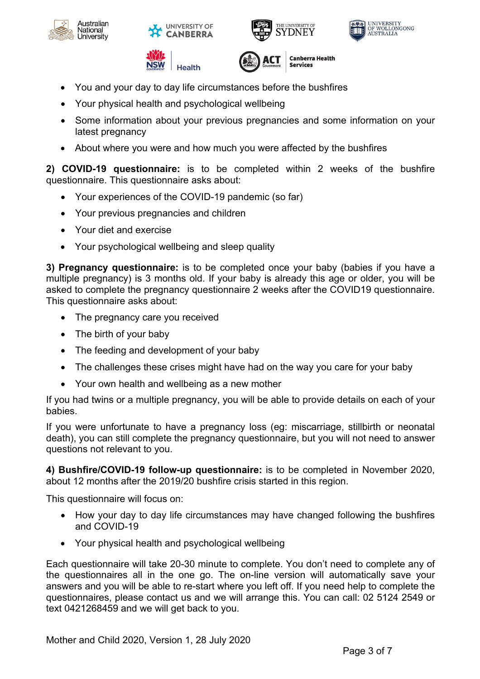











- You and your day to day life circumstances before the bushfires
- Your physical health and psychological wellbeing
- Some information about your previous pregnancies and some information on your latest pregnancy
- About where you were and how much you were affected by the bushfires

**2) COVID-19 questionnaire:** is to be completed within 2 weeks of the bushfire questionnaire. This questionnaire asks about:

- Your experiences of the COVID-19 pandemic (so far)
- Your previous pregnancies and children
- Your diet and exercise
- Your psychological wellbeing and sleep quality

**3) Pregnancy questionnaire:** is to be completed once your baby (babies if you have a multiple pregnancy) is 3 months old. If your baby is already this age or older, you will be asked to complete the pregnancy questionnaire 2 weeks after the COVID19 questionnaire. This questionnaire asks about:

- The pregnancy care you received
- The birth of your baby
- The feeding and development of your baby
- The challenges these crises might have had on the way you care for your baby
- Your own health and wellbeing as a new mother

If you had twins or a multiple pregnancy, you will be able to provide details on each of your babies.

If you were unfortunate to have a pregnancy loss (eg: miscarriage, stillbirth or neonatal death), you can still complete the pregnancy questionnaire, but you will not need to answer questions not relevant to you.

**4) Bushfire/COVID-19 follow-up questionnaire:** is to be completed in November 2020, about 12 months after the 2019/20 bushfire crisis started in this region.

This questionnaire will focus on:

- How your day to day life circumstances may have changed following the bushfires and COVID-19
- Your physical health and psychological wellbeing

Each questionnaire will take 20-30 minute to complete. You don't need to complete any of the questionnaires all in the one go. The on-line version will automatically save your answers and you will be able to re-start where you left off. If you need help to complete the questionnaires, please contact us and we will arrange this. You can call: 02 5124 2549 or text 0421268459 and we will get back to you.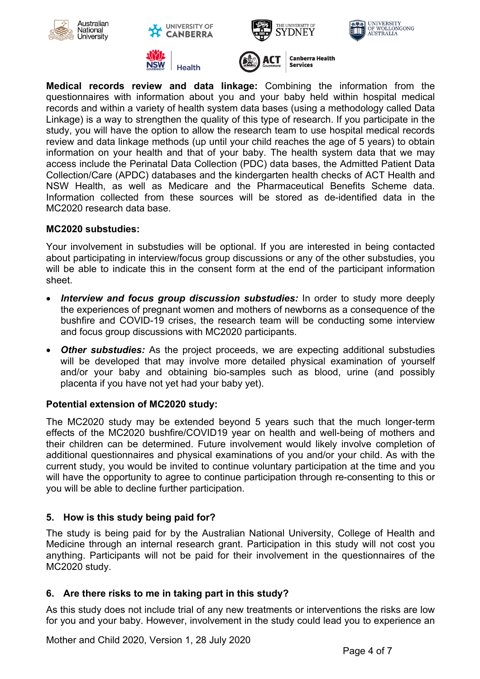







**NSW Health** 



**Medical records review and data linkage:** Combining the information from the questionnaires with information about you and your baby held within hospital medical records and within a variety of health system data bases (using a methodology called Data Linkage) is a way to strengthen the quality of this type of research. If you participate in the study, you will have the option to allow the research team to use hospital medical records review and data linkage methods (up until your child reaches the age of 5 years) to obtain information on your health and that of your baby. The health system data that we may access include the Perinatal Data Collection (PDC) data bases, the Admitted Patient Data Collection/Care (APDC) databases and the kindergarten health checks of ACT Health and NSW Health, as well as Medicare and the Pharmaceutical Benefits Scheme data. Information collected from these sources will be stored as de-identified data in the MC2020 research data base.

### **MC2020 substudies:**

Your involvement in substudies will be optional. If you are interested in being contacted about participating in interview/focus group discussions or any of the other substudies, you will be able to indicate this in the consent form at the end of the participant information sheet.

- *Interview and focus group discussion substudies:* In order to study more deeply the experiences of pregnant women and mothers of newborns as a consequence of the bushfire and COVID-19 crises, the research team will be conducting some interview and focus group discussions with MC2020 participants.
- *Other substudies:* As the project proceeds, we are expecting additional substudies will be developed that may involve more detailed physical examination of yourself and/or your baby and obtaining bio-samples such as blood, urine (and possibly placenta if you have not yet had your baby yet).

#### **Potential extension of MC2020 study:**

The MC2020 study may be extended beyond 5 years such that the much longer-term effects of the MC2020 bushfire/COVID19 year on health and well-being of mothers and their children can be determined. Future involvement would likely involve completion of additional questionnaires and physical examinations of you and/or your child. As with the current study, you would be invited to continue voluntary participation at the time and you will have the opportunity to agree to continue participation through re-consenting to this or you will be able to decline further participation.

# **5. How is this study being paid for?**

The study is being paid for by the Australian National University, College of Health and Medicine through an internal research grant. Participation in this study will not cost you anything. Participants will not be paid for their involvement in the questionnaires of the MC2020 study.

#### **6. Are there risks to me in taking part in this study?**

As this study does not include trial of any new treatments or interventions the risks are low for you and your baby. However, involvement in the study could lead you to experience an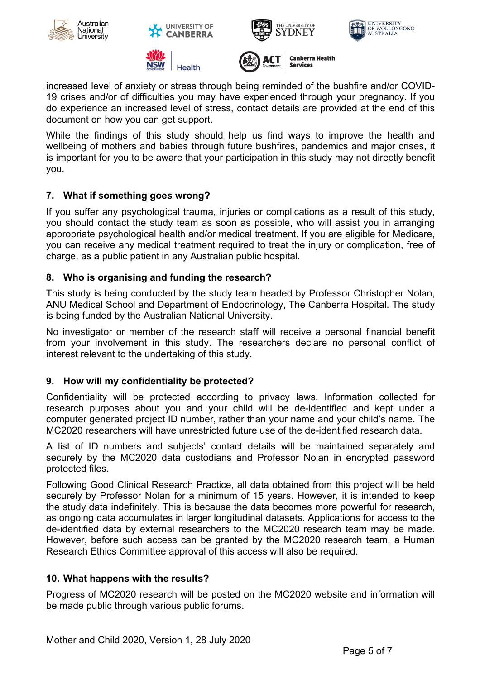







**NSW Health** 



increased level of anxiety or stress through being reminded of the bushfire and/or COVID-19 crises and/or of difficulties you may have experienced through your pregnancy. If you do experience an increased level of stress, contact details are provided at the end of this document on how you can get support.

While the findings of this study should help us find ways to improve the health and wellbeing of mothers and babies through future bushfires, pandemics and major crises, it is important for you to be aware that your participation in this study may not directly benefit you.

# **7. What if something goes wrong?**

If you suffer any psychological trauma, injuries or complications as a result of this study, you should contact the study team as soon as possible, who will assist you in arranging appropriate psychological health and/or medical treatment. If you are eligible for Medicare, you can receive any medical treatment required to treat the injury or complication, free of charge, as a public patient in any Australian public hospital.

# **8. Who is organising and funding the research?**

This study is being conducted by the study team headed by Professor Christopher Nolan, ANU Medical School and Department of Endocrinology, The Canberra Hospital. The study is being funded by the Australian National University.

No investigator or member of the research staff will receive a personal financial benefit from your involvement in this study. The researchers declare no personal conflict of interest relevant to the undertaking of this study.

# **9. How will my confidentiality be protected?**

Confidentiality will be protected according to privacy laws. Information collected for research purposes about you and your child will be de-identified and kept under a computer generated project ID number, rather than your name and your child's name. The MC2020 researchers will have unrestricted future use of the de-identified research data.

A list of ID numbers and subjects' contact details will be maintained separately and securely by the MC2020 data custodians and Professor Nolan in encrypted password protected files.

Following Good Clinical Research Practice, all data obtained from this project will be held securely by Professor Nolan for a minimum of 15 years. However, it is intended to keep the study data indefinitely. This is because the data becomes more powerful for research, as ongoing data accumulates in larger longitudinal datasets. Applications for access to the de-identified data by external researchers to the MC2020 research team may be made. However, before such access can be granted by the MC2020 research team, a Human Research Ethics Committee approval of this access will also be required.

# **10. What happens with the results?**

Progress of MC2020 research will be posted on the MC2020 website and information will be made public through various public forums.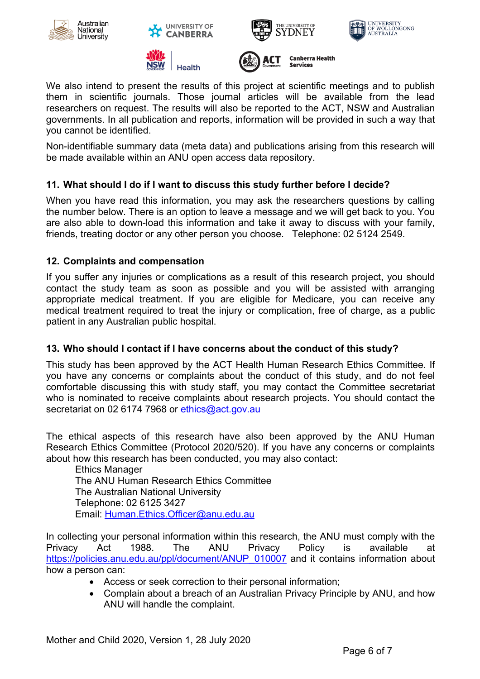











We also intend to present the results of this project at scientific meetings and to publish them in scientific journals. Those journal articles will be available from the lead researchers on request. The results will also be reported to the ACT, NSW and Australian governments. In all publication and reports, information will be provided in such a way that you cannot be identified.

Non-identifiable summary data (meta data) and publications arising from this research will be made available within an ANU open access data repository.

# **11. What should I do if I want to discuss this study further before I decide?**

When you have read this information, you may ask the researchers questions by calling the number below. There is an option to leave a message and we will get back to you. You are also able to down-load this information and take it away to discuss with your family, friends, treating doctor or any other person you choose. Telephone: 02 5124 2549.

# **12. Complaints and compensation**

If you suffer any injuries or complications as a result of this research project, you should contact the study team as soon as possible and you will be assisted with arranging appropriate medical treatment. If you are eligible for Medicare, you can receive any medical treatment required to treat the injury or complication, free of charge, as a public patient in any Australian public hospital.

# **13. Who should I contact if I have concerns about the conduct of this study?**

This study has been approved by the ACT Health Human Research Ethics Committee. If you have any concerns or complaints about the conduct of this study, and do not feel comfortable discussing this with study staff, you may contact the Committee secretariat who is nominated to receive complaints about research projects. You should contact the secretariat on 02 6174 7968 or ethics@act.gov.au

The ethical aspects of this research have also been approved by the ANU Human Research Ethics Committee (Protocol 2020/520). If you have any concerns or complaints about how this research has been conducted, you may also contact:

Ethics Manager The ANU Human Research Ethics Committee The Australian National University Telephone: 02 6125 3427 Email: Human.Ethics.Officer@anu.edu.au

In collecting your personal information within this research, the ANU must comply with the Privacy Act 1988. The ANU Privacy Policy is available at https://policies.anu.edu.au/ppl/document/ANUP\_010007 and it contains information about how a person can:

- Access or seek correction to their personal information;
- Complain about a breach of an Australian Privacy Principle by ANU, and how ANU will handle the complaint.